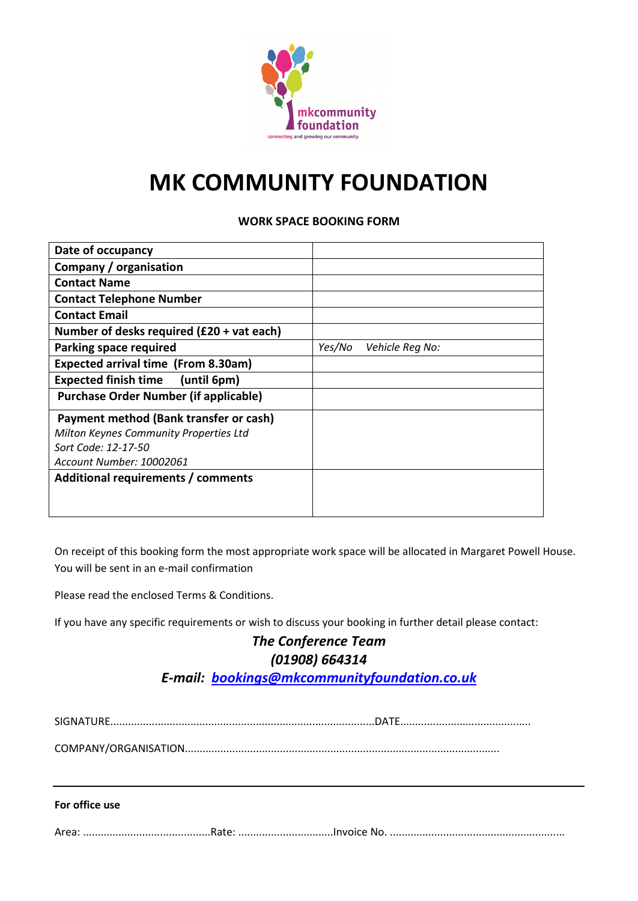

# **MK COMMUNITY FOUNDATION**

### **WORK SPACE BOOKING FORM**

| Date of occupancy                             |        |                 |
|-----------------------------------------------|--------|-----------------|
| Company / organisation                        |        |                 |
| <b>Contact Name</b>                           |        |                 |
| <b>Contact Telephone Number</b>               |        |                 |
| <b>Contact Email</b>                          |        |                 |
| Number of desks required (£20 + vat each)     |        |                 |
| <b>Parking space required</b>                 | Yes/No | Vehicle Reg No: |
| <b>Expected arrival time (From 8.30am)</b>    |        |                 |
| <b>Expected finish time</b><br>(until 6pm)    |        |                 |
| <b>Purchase Order Number (if applicable)</b>  |        |                 |
| Payment method (Bank transfer or cash)        |        |                 |
| <b>Milton Keynes Community Properties Ltd</b> |        |                 |
| Sort Code: 12-17-50                           |        |                 |
| Account Number: 10002061                      |        |                 |
| Additional requirements / comments            |        |                 |
|                                               |        |                 |
|                                               |        |                 |

On receipt of this booking form the most appropriate work space will be allocated in Margaret Powell House. You will be sent in an e-mail confirmation

Please read the enclosed Terms & Conditions.

If you have any specific requirements or wish to discuss your booking in further detail please contact:

# *The Conference Team (01908) 664314 E-mail: [bookings@mkcommunityfoundation.co.uk](mailto:bookings@mkcommunityfoundation.co.uk)*

SIGNATURE.........................................................................................DATE............................................

COMPANY/ORGANISATION..........................................................................................................

#### **For office use**

Area: ...........................................Rate: ................................Invoice No. ...........................................................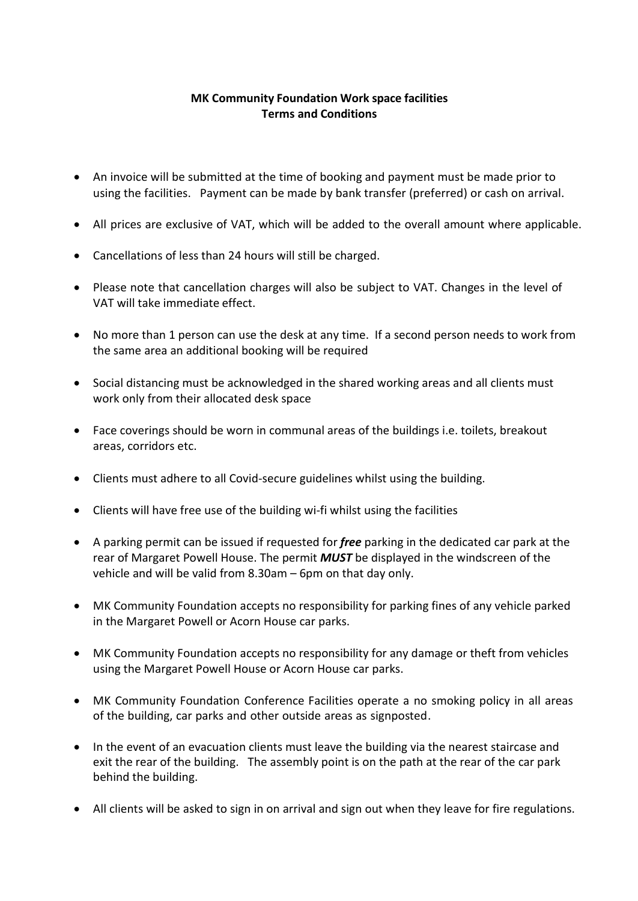## **MK Community Foundation Work space facilities Terms and Conditions**

- An invoice will be submitted at the time of booking and payment must be made prior to using the facilities. Payment can be made by bank transfer (preferred) or cash on arrival.
- All prices are exclusive of VAT, which will be added to the overall amount where applicable.
- Cancellations of less than 24 hours will still be charged.
- Please note that cancellation charges will also be subject to VAT. Changes in the level of VAT will take immediate effect.
- No more than 1 person can use the desk at any time. If a second person needs to work from the same area an additional booking will be required
- Social distancing must be acknowledged in the shared working areas and all clients must work only from their allocated desk space
- Face coverings should be worn in communal areas of the buildings i.e. toilets, breakout areas, corridors etc.
- Clients must adhere to all Covid-secure guidelines whilst using the building.
- Clients will have free use of the building wi-fi whilst using the facilities
- A parking permit can be issued if requested for *free* parking in the dedicated car park at the rear of Margaret Powell House. The permit *MUST* be displayed in the windscreen of the vehicle and will be valid from 8.30am – 6pm on that day only.
- MK Community Foundation accepts no responsibility for parking fines of any vehicle parked in the Margaret Powell or Acorn House car parks.
- MK Community Foundation accepts no responsibility for any damage or theft from vehicles using the Margaret Powell House or Acorn House car parks.
- MK Community Foundation Conference Facilities operate a no smoking policy in all areas of the building, car parks and other outside areas as signposted.
- In the event of an evacuation clients must leave the building via the nearest staircase and exit the rear of the building. The assembly point is on the path at the rear of the car park behind the building.
- All clients will be asked to sign in on arrival and sign out when they leave for fire regulations.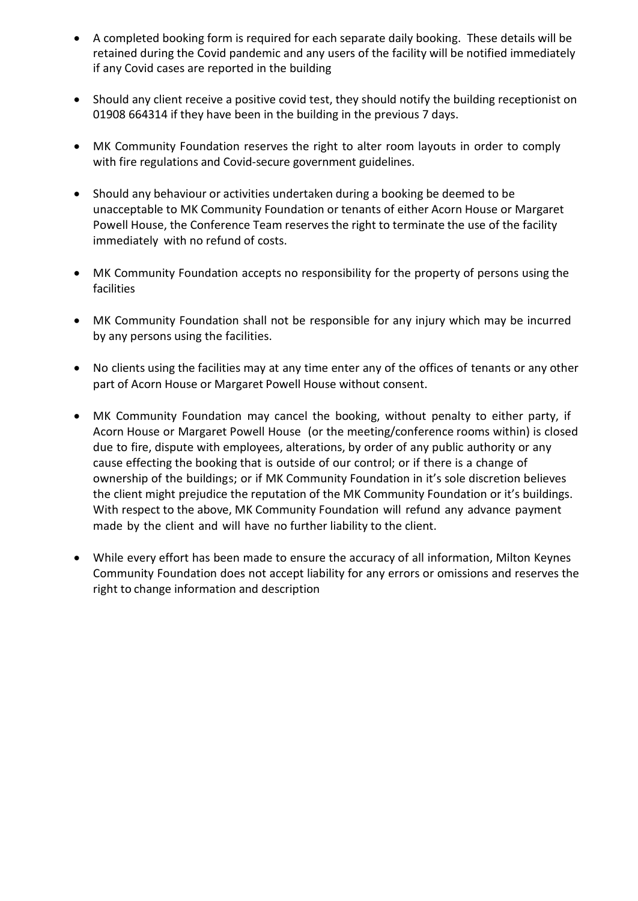- A completed booking form is required for each separate daily booking. These details will be retained during the Covid pandemic and any users of the facility will be notified immediately if any Covid cases are reported in the building
- Should any client receive a positive covid test, they should notify the building receptionist on 01908 664314 if they have been in the building in the previous 7 days.
- MK Community Foundation reserves the right to alter room layouts in order to comply with fire regulations and Covid-secure government guidelines.
- Should any behaviour or activities undertaken during a booking be deemed to be unacceptable to MK Community Foundation or tenants of either Acorn House or Margaret Powell House, the Conference Team reserves the right to terminate the use of the facility immediately with no refund of costs.
- MK Community Foundation accepts no responsibility for the property of persons using the facilities
- MK Community Foundation shall not be responsible for any injury which may be incurred by any persons using the facilities.
- No clients using the facilities may at any time enter any of the offices of tenants or any other part of Acorn House or Margaret Powell House without consent.
- MK Community Foundation may cancel the booking, without penalty to either party, if Acorn House or Margaret Powell House (or the meeting/conference rooms within) is closed due to fire, dispute with employees, alterations, by order of any public authority or any cause effecting the booking that is outside of our control; or if there is a change of ownership of the buildings; or if MK Community Foundation in it's sole discretion believes the client might prejudice the reputation of the MK Community Foundation or it's buildings. With respect to the above, MK Community Foundation will refund any advance payment made by the client and will have no further liability to the client.
- While every effort has been made to ensure the accuracy of all information, Milton Keynes Community Foundation does not accept liability for any errors or omissions and reserves the right to change information and description